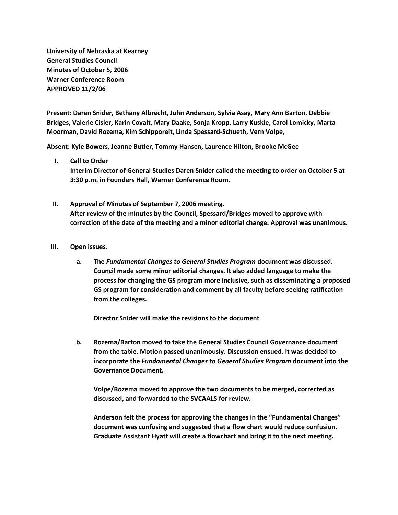**University of Nebraska at Kearney General Studies Council Minutes of October 5, 2006 Warner Conference Room APPROVED 11/2/06**

**Present: Daren Snider, Bethany Albrecht, John Anderson, Sylvia Asay, Mary Ann Barton, Debbie Bridges, Valerie Cisler, Karin Covalt, Mary Daake, Sonja Kropp, Larry Kuskie, Carol Lomicky, Marta Moorman, David Rozema, Kim Schipporeit, Linda Spessard-Schueth, Vern Volpe,**

**Absent: Kyle Bowers, Jeanne Butler, Tommy Hansen, Laurence Hilton, Brooke McGee**

- **I. Call to Order Interim Director of General Studies Daren Snider called the meeting to order on October 5 at 3:30 p.m. in Founders Hall, Warner Conference Room.**
- **II. Approval of Minutes of September 7, 2006 meeting. After review of the minutes by the Council, Spessard/Bridges moved to approve with correction of the date of the meeting and a minor editorial change. Approval was unanimous.**
- **III. Open issues.**
	- **a. The** *Fundamental Changes to General Studies Program* **document was discussed. Council made some minor editorial changes. It also added language to make the process for changing the GS program more inclusive, such as disseminating a proposed GS program for consideration and comment by all faculty before seeking ratification from the colleges.**

**Director Snider will make the revisions to the document**

**b. Rozema/Barton moved to take the General Studies Council Governance document from the table. Motion passed unanimously. Discussion ensued. It was decided to incorporate the** *Fundamental Changes to General Studies Program* **document into the Governance Document.**

**Volpe/Rozema moved to approve the two documents to be merged, corrected as discussed, and forwarded to the SVCAALS for review.**

**Anderson felt the process for approving the changes in the "Fundamental Changes" document was confusing and suggested that a flow chart would reduce confusion. Graduate Assistant Hyatt will create a flowchart and bring it to the next meeting.**